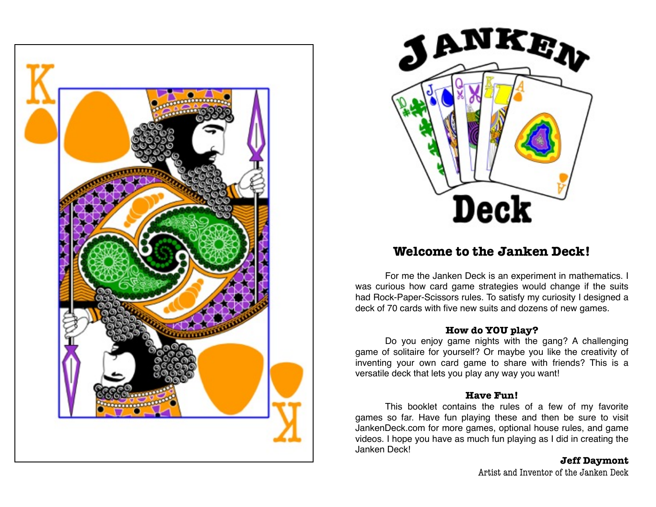



# **Welcome to the Janken Deck!**

For me the Janken Deck is an experiment in mathematics. I was curious how card game strategies would change if the suits had Rock-Paper-Scissors rules. To satisfy my curiosity I designed a deck of 70 cards with five new suits and dozens of new games.

#### **How do YOU play?**

Do you enjoy game nights with the gang? A challenging game of solitaire for yourself? Or maybe you like the creativity of inventing your own card game to share with friends? This is a versatile deck that lets you play any way you want!

#### **Have Fun!**

This booklet contains the rules of a few of my favorite games so far. Have fun playing these and then be sure to visit [JankenDeck.com](http://JankenDeck.com) for more games, optional house rules, and game videos. I hope you have as much fun playing as I did in creating the Janken Deck!

#### **Jeff Daymont**

Artist and Inventor of the Janken Deck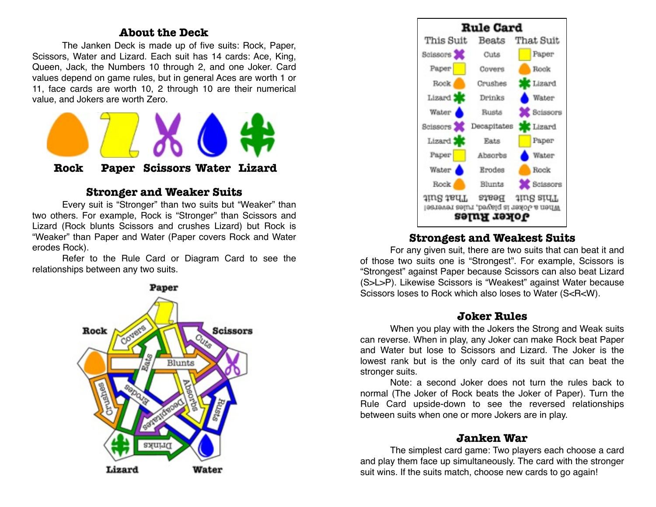# **About the Deck**

The Janken Deck is made up of five suits: Rock, Paper, Scissors, Water and Lizard. Each suit has 14 cards: Ace, King, Queen, Jack, the Numbers 10 through 2, and one Joker. Card values depend on game rules, but in general Aces are worth 1 or 11, face cards are worth 10, 2 through 10 are their numerical value, and Jokers are worth Zero.



# **Stronger and Weaker Suits**

Every suit is "Stronger" than two suits but "Weaker" than two others. For example, Rock is "Stronger" than Scissors and Lizard (Rock blunts Scissors and crushes Lizard) but Rock is "Weaker" than Paper and Water (Paper covers Rock and Water erodes Rock).

Refer to the Rule Card or Diagram Card to see the relationships between any two suits.





# **Strongest and Weakest Suits**

For any given suit, there are two suits that can beat it and of those two suits one is "Strongest". For example, Scissors is "Strongest" against Paper because Scissors can also beat Lizard (S>L>P). Likewise Scissors is "Weakest" against Water because Scissors loses to Rock which also loses to Water (S<R<W).

#### **Joker Rules**

When you play with the Jokers the Strong and Weak suits can reverse. When in play, any Joker can make Rock beat Paper and Water but lose to Scissors and Lizard. The Joker is the lowest rank but is the only card of its suit that can beat the stronger suits.

Note: a second Joker does not turn the rules back to normal (The Joker of Rock beats the Joker of Paper). Turn the Rule Card upside-down to see the reversed relationships between suits when one or more Jokers are in play.

# **Janken War**

The simplest card game: Two players each choose a card and play them face up simultaneously. The card with the stronger suit wins. If the suits match, choose new cards to go again!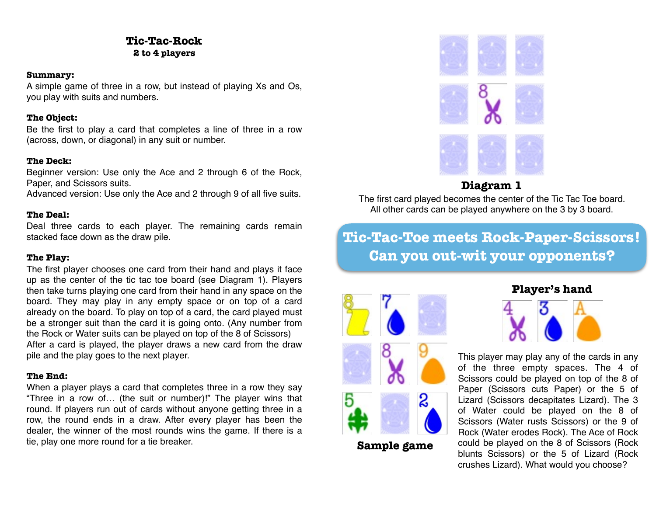# **Tic-Tac-Rock 2 to 4 players**

#### **Summary:**

A simple game of three in a row, but instead of playing Xs and Os, you play with suits and numbers.

#### **The Object:**

Be the first to play a card that completes a line of three in a row (across, down, or diagonal) in any suit or number.

#### **The Deck:**

Beginner version: Use only the Ace and 2 through 6 of the Rock, Paper, and Scissors suits.

Advanced version: Use only the Ace and 2 through 9 of all five suits.

#### **The Deal:**

Deal three cards to each player. The remaining cards remain stacked face down as the draw pile.

#### **The Play:**

The first player chooses one card from their hand and plays it face up as the center of the tic tac toe board (see Diagram 1). Players then take turns playing one card from their hand in any space on the board. They may play in any empty space or on top of a card already on the board. To play on top of a card, the card played must be a stronger suit than the card it is going onto. (Any number from the Rock or Water suits can be played on top of the 8 of Scissors) After a card is played, the player draws a new card from the draw pile and the play goes to the next player.

#### **The End:**

When a player plays a card that completes three in a row they say "Three in a row of… (the suit or number)!" The player wins that round. If players run out of cards without anyone getting three in a row, the round ends in a draw. After every player has been the dealer, the winner of the most rounds wins the game. If there is a tie, play one more round for a tie breaker.



# **Diagram 1**

The first card played becomes the center of the Tic Tac Toe board. All other cards can be played anywhere on the 3 by 3 board.

**Tic-Tac-Toe meets Rock-Paper-Scissors! Can you out-wit your opponents?**



**Sample game**

# **Player's hand**



This player may play any of the cards in any of the three empty spaces. The 4 of Scissors could be played on top of the 8 of Paper (Scissors cuts Paper) or the 5 of Lizard (Scissors decapitates Lizard). The 3 of Water could be played on the 8 of Scissors (Water rusts Scissors) or the 9 of Rock (Water erodes Rock). The Ace of Rock could be played on the 8 of Scissors (Rock blunts Scissors) or the 5 of Lizard (Rock crushes Lizard). What would you choose?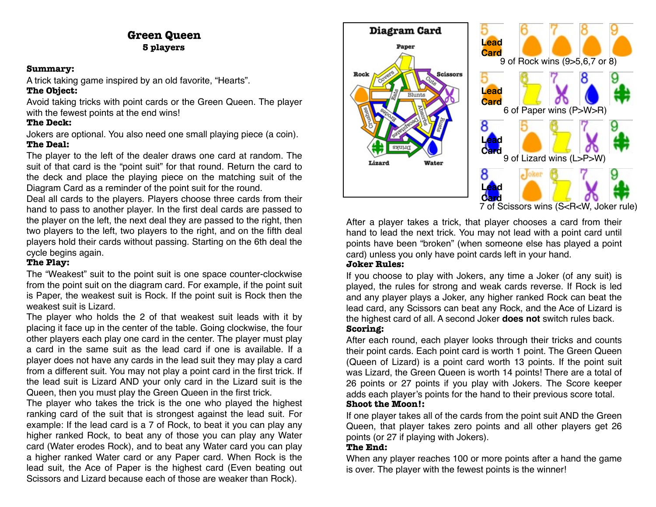## **Green Queen 5 players**

#### **Summary:**

A trick taking game inspired by an old favorite, "Hearts".

#### **The Object:**

Avoid taking tricks with point cards or the Green Queen. The player with the fewest points at the end wins!

## **The Deck:**

Jokers are optional. You also need one small playing piece (a coin). **The Deal:** 

The player to the left of the dealer draws one card at random. The suit of that card is the "point suit" for that round. Return the card to the deck and place the playing piece on the matching suit of the Diagram Card as a reminder of the point suit for the round.

Deal all cards to the players. Players choose three cards from their hand to pass to another player. In the first deal cards are passed to the player on the left, the next deal they are passed to the right, then two players to the left, two players to the right, and on the fifth deal players hold their cards without passing. Starting on the 6th deal the cycle begins again.

## **The Play:**

The "Weakest" suit to the point suit is one space counter-clockwise from the point suit on the diagram card. For example, if the point suit is Paper, the weakest suit is Rock. If the point suit is Rock then the weakest suit is Lizard.

The player who holds the 2 of that weakest suit leads with it by placing it face up in the center of the table. Going clockwise, the four other players each play one card in the center. The player must play a card in the same suit as the lead card if one is available. If a player does not have any cards in the lead suit they may play a card from a different suit. You may not play a point card in the first trick. If the lead suit is Lizard AND your only card in the Lizard suit is the Queen, then you must play the Green Queen in the first trick.

The player who takes the trick is the one who played the highest ranking card of the suit that is strongest against the lead suit. For example: If the lead card is a 7 of Rock, to beat it you can play any higher ranked Rock, to beat any of those you can play any Water card (Water erodes Rock), and to beat any Water card you can play a higher ranked Water card or any Paper card. When Rock is the lead suit, the Ace of Paper is the highest card (Even beating out Scissors and Lizard because each of those are weaker than Rock).



After a player takes a trick, that player chooses a card from their hand to lead the next trick. You may not lead with a point card until points have been "broken" (when someone else has played a point card) unless you only have point cards left in your hand.

#### **Joker Rules:**

If you choose to play with Jokers, any time a Joker (of any suit) is played, the rules for strong and weak cards reverse. If Rock is led and any player plays a Joker, any higher ranked Rock can beat the lead card, any Scissors can beat any Rock, and the Ace of Lizard is the highest card of all. A second Joker **does not** switch rules back. **Scoring:** 

After each round, each player looks through their tricks and counts their point cards. Each point card is worth 1 point. The Green Queen (Queen of Lizard) is a point card worth 13 points. If the point suit was Lizard, the Green Queen is worth 14 points! There are a total of 26 points or 27 points if you play with Jokers. The Score keeper adds each player's points for the hand to their previous score total. **Shoot the Moon!:** 

#### If one player takes all of the cards from the point suit AND the Green Queen, that player takes zero points and all other players get 26 points (or 27 if playing with Jokers).

## **The End:**

When any player reaches 100 or more points after a hand the game is over. The player with the fewest points is the winner!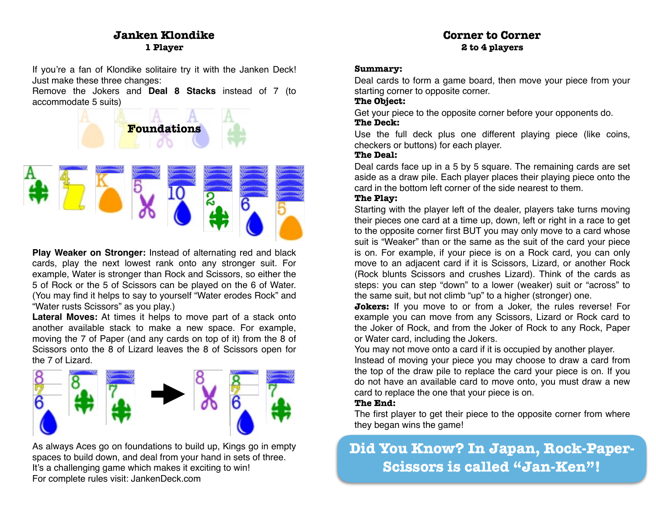# **Janken Klondike 1 Player**

If you're a fan of Klondike solitaire try it with the Janken Deck! Just make these three changes:

Remove the Jokers and **Deal 8 Stacks** instead of 7 (to accommodate 5 suits)



**Play Weaker on Stronger:** Instead of alternating red and black cards, play the next lowest rank onto any stronger suit. For example, Water is stronger than Rock and Scissors, so either the 5 of Rock or the 5 of Scissors can be played on the 6 of Water. (You may find it helps to say to yourself "Water erodes Rock" and "Water rusts Scissors" as you play.)

**Lateral Moves:** At times it helps to move part of a stack onto another available stack to make a new space. For example, moving the 7 of Paper (and any cards on top of it) from the 8 of Scissors onto the 8 of Lizard leaves the 8 of Scissors open for the 7 of Lizard.



As always Aces go on foundations to build up, Kings go in empty spaces to build down, and deal from your hand in sets of three. It's a challenging game which makes it exciting to win! For complete rules visit: [JankenDeck.com](http://JankenDeck.com)

## **Corner to Corner 2 to 4 players**

#### **Summary:**

Deal cards to form a game board, then move your piece from your starting corner to opposite corner.

#### **The Object:**

Get your piece to the opposite corner before your opponents do. **The Deck:** 

Use the full deck plus one different playing piece (like coins, checkers or buttons) for each player.

#### **The Deal:**

Deal cards face up in a 5 by 5 square. The remaining cards are set aside as a draw pile. Each player places their playing piece onto the card in the bottom left corner of the side nearest to them.

#### **The Play:**

Starting with the player left of the dealer, players take turns moving their pieces one card at a time up, down, left or right in a race to get to the opposite corner first BUT you may only move to a card whose suit is "Weaker" than or the same as the suit of the card your piece is on. For example, if your piece is on a Rock card, you can only move to an adjacent card if it is Scissors, Lizard, or another Rock (Rock blunts Scissors and crushes Lizard). Think of the cards as steps: you can step "down" to a lower (weaker) suit or "across" to the same suit, but not climb "up" to a higher (stronger) one.

**Jokers:** If you move to or from a Joker, the rules reverse! For example you can move from any Scissors, Lizard or Rock card to the Joker of Rock, and from the Joker of Rock to any Rock, Paper or Water card, including the Jokers.

You may not move onto a card if it is occupied by another player.

Instead of moving your piece you may choose to draw a card from the top of the draw pile to replace the card your piece is on. If you do not have an available card to move onto, you must draw a new card to replace the one that your piece is on.

#### **The End:**

The first player to get their piece to the opposite corner from where they began wins the game!

# **Did You Know? In Japan, Rock-Paper-Scissors is called "Jan-Ken"!**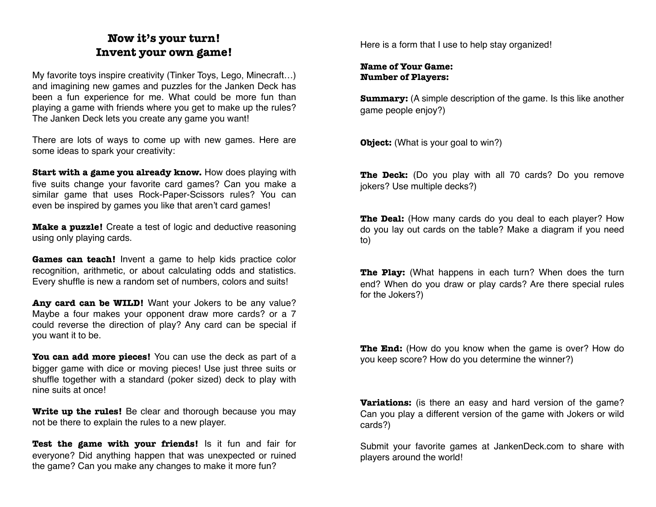# **Now it's your turn! Invent your own game!**

My favorite toys inspire creativity (Tinker Toys, Lego, Minecraft…) and imagining new games and puzzles for the Janken Deck has been a fun experience for me. What could be more fun than playing a game with friends where you get to make up the rules? The Janken Deck lets you create any game you want!

There are lots of ways to come up with new games. Here are some ideas to spark your creativity:

**Start with a game you already know.** How does playing with five suits change your favorite card games? Can you make a similar game that uses Rock-Paper-Scissors rules? You can even be inspired by games you like that aren't card games!

**Make a puzzle!** Create a test of logic and deductive reasoning using only playing cards.

**Games can teach!** Invent a game to help kids practice color recognition, arithmetic, or about calculating odds and statistics. Every shuffle is new a random set of numbers, colors and suits!

Any card can be **WILD!** Want your Jokers to be any value? Maybe a four makes your opponent draw more cards? or a 7 could reverse the direction of play? Any card can be special if you want it to be.

**You can add more pieces!** You can use the deck as part of a bigger game with dice or moving pieces! Use just three suits or shuffle together with a standard (poker sized) deck to play with nine suits at once!

**Write up the rules!** Be clear and thorough because you may not be there to explain the rules to a new player.

**Test the game with your friends!** Is it fun and fair for everyone? Did anything happen that was unexpected or ruined the game? Can you make any changes to make it more fun?

Here is a form that I use to help stay organized!

#### **Name of Your Game: Number of Players:**

**Summary:** (A simple description of the game. Is this like another game people enjoy?)

**Object:** (What is your goal to win?)

**The Deck:** (Do you play with all 70 cards? Do you remove jokers? Use multiple decks?)

**The Deal:** (How many cards do you deal to each player? How do you lay out cards on the table? Make a diagram if you need to)

**The Play:** (What happens in each turn? When does the turn end? When do you draw or play cards? Are there special rules for the Jokers?)

**The End:** (How do you know when the game is over? How do you keep score? How do you determine the winner?)

**Variations:** (is there an easy and hard version of the game? Can you play a different version of the game with Jokers or wild cards?)

Submit your favorite games at [JankenDeck.com](http://JankenDeck.com) to share with players around the world!